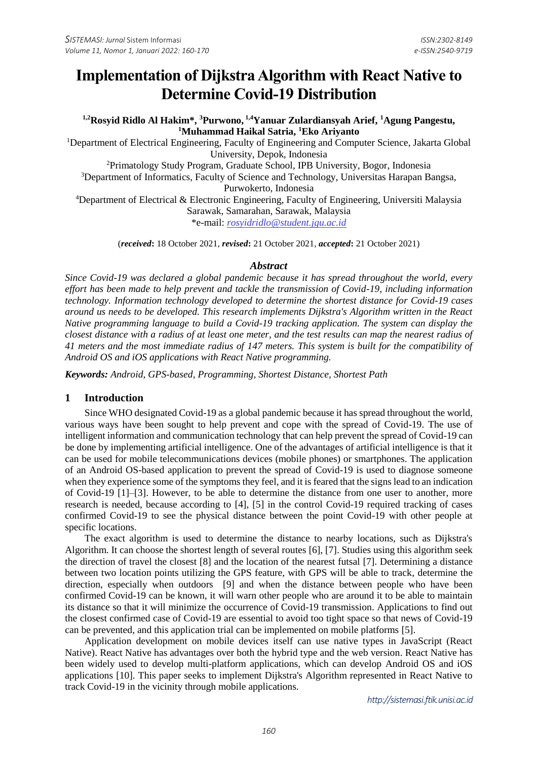# **Implementation of Dijkstra Algorithm with React Native to Determine Covid-19 Distribution**

**1,2Rosyid Ridlo Al Hakim\*, <sup>3</sup>Purwono, 1,4Yanuar Zulardiansyah Arief, <sup>1</sup>Agung Pangestu, <sup>1</sup>Muhammad Haikal Satria, <sup>1</sup>Eko Ariyanto**

<sup>1</sup>Department of Electrical Engineering, Faculty of Engineering and Computer Science, Jakarta Global University, Depok, Indonesia

<sup>2</sup>Primatology Study Program, Graduate School, IPB University, Bogor, Indonesia <sup>3</sup>Department of Informatics, Faculty of Science and Technology, Universitas Harapan Bangsa, Purwokerto, Indonesia

<sup>4</sup>Department of Electrical & Electronic Engineering, Faculty of Engineering, Universiti Malaysia Sarawak, Samarahan, Sarawak, Malaysia

\*e-mail: *[rosyidridlo@student.jgu.ac.id](mailto:rosyidridlo@student.jgu.ac.id)*

(*received***:** 18 October 2021, *revised***:** 21 October 2021, *accepted***:** 21 October 2021)

#### *Abstract*

*Since Covid-19 was declared a global pandemic because it has spread throughout the world, every effort has been made to help prevent and tackle the transmission of Covid-19, including information technology. Information technology developed to determine the shortest distance for Covid-19 cases around us needs to be developed. This research implements Dijkstra's Algorithm written in the React Native programming language to build a Covid-19 tracking application. The system can display the closest distance with a radius of at least one meter, and the test results can map the nearest radius of 41 meters and the most immediate radius of 147 meters. This system is built for the compatibility of Android OS and iOS applications with React Native programming.*

*Keywords: Android, GPS-based, Programming, Shortest Distance, Shortest Path*

#### **1 Introduction**

Since WHO designated Covid-19 as a global pandemic because it has spread throughout the world, various ways have been sought to help prevent and cope with the spread of Covid-19. The use of intelligent information and communication technology that can help prevent the spread of Covid-19 can be done by implementing artificial intelligence. One of the advantages of artificial intelligence is that it can be used for mobile telecommunications devices (mobile phones) or smartphones. The application of an Android OS-based application to prevent the spread of Covid-19 is used to diagnose someone when they experience some of the symptoms they feel, and it is feared that the signs lead to an indication of Covid-19 [1]–[3]. However, to be able to determine the distance from one user to another, more research is needed, because according to [4], [5] in the control Covid-19 required tracking of cases confirmed Covid-19 to see the physical distance between the point Covid-19 with other people at specific locations.

The exact algorithm is used to determine the distance to nearby locations, such as Dijkstra's Algorithm. It can choose the shortest length of several routes [6], [7]. Studies using this algorithm seek the direction of travel the closest [8] and the location of the nearest futsal [7]. Determining a distance between two location points utilizing the GPS feature, with GPS will be able to track, determine the direction, especially when outdoors [9] and when the distance between people who have been confirmed Covid-19 can be known, it will warn other people who are around it to be able to maintain its distance so that it will minimize the occurrence of Covid-19 transmission. Applications to find out the closest confirmed case of Covid-19 are essential to avoid too tight space so that news of Covid-19 can be prevented, and this application trial can be implemented on mobile platforms [5].

Application development on mobile devices itself can use native types in JavaScript (React Native). React Native has advantages over both the hybrid type and the web version. React Native has been widely used to develop multi-platform applications, which can develop Android OS and iOS applications [10]*.* This paper seeks to implement Dijkstra's Algorithm represented in React Native to track Covid-19 in the vicinity through mobile applications.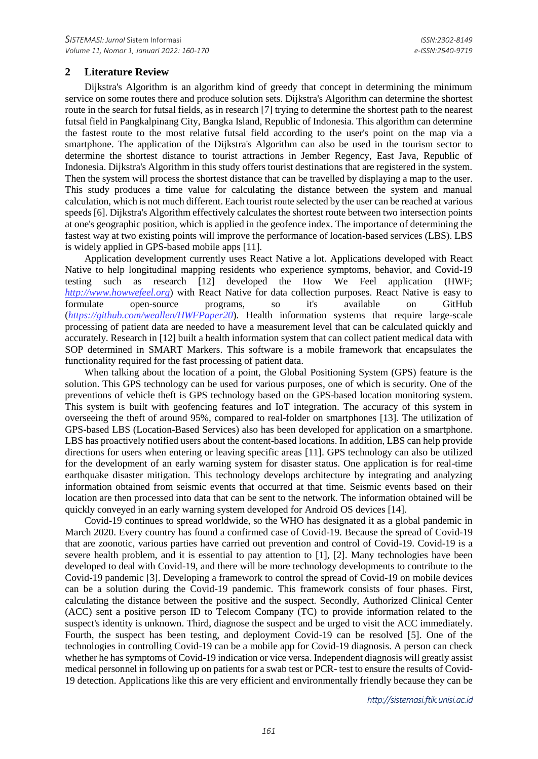## **2 Literature Review**

Dijkstra's Algorithm is an algorithm kind of greedy that concept in determining the minimum service on some routes there and produce solution sets. Dijkstra's Algorithm can determine the shortest route in the search for futsal fields, as in research [7] trying to determine the shortest path to the nearest futsal field in Pangkalpinang City, Bangka Island, Republic of Indonesia. This algorithm can determine the fastest route to the most relative futsal field according to the user's point on the map via a smartphone. The application of the Dijkstra's Algorithm can also be used in the tourism sector to determine the shortest distance to tourist attractions in Jember Regency, East Java, Republic of Indonesia. Dijkstra's Algorithm in this study offers tourist destinations that are registered in the system. Then the system will process the shortest distance that can be travelled by displaying a map to the user. This study produces a time value for calculating the distance between the system and manual calculation, which is not much different. Each tourist route selected by the user can be reached at various speeds [6]. Dijkstra's Algorithm effectively calculates the shortest route between two intersection points at one's geographic position, which is applied in the geofence index. The importance of determining the fastest way at two existing points will improve the performance of location-based services (LBS). LBS is widely applied in GPS-based mobile apps [11].

Application development currently uses React Native a lot. Applications developed with React Native to help longitudinal mapping residents who experience symptoms, behavior, and Covid-19 testing such as research [12] developed the How We Feel application (HWF; *[http://www.howwefeel.org](http://www.howwefeel.org/)*) with React Native for data collection purposes. React Native is easy to formulate open-source programs, so it's available on GitHub (*<https://github.com/weallen/HWFPaper20>*). Health information systems that require large-scale processing of patient data are needed to have a measurement level that can be calculated quickly and accurately. Research in [12] built a health information system that can collect patient medical data with SOP determined in SMART Markers. This software is a mobile framework that encapsulates the functionality required for the fast processing of patient data.

When talking about the location of a point, the Global Positioning System (GPS) feature is the solution. This GPS technology can be used for various purposes, one of which is security. One of the preventions of vehicle theft is GPS technology based on the GPS-based location monitoring system. This system is built with geofencing features and IoT integration. The accuracy of this system in overseeing the theft of around 95%, compared to real-folder on smartphones [13]*.* The utilization of GPS-based LBS (Location-Based Services) also has been developed for application on a smartphone. LBS has proactively notified users about the content-based locations. In addition, LBS can help provide directions for users when entering or leaving specific areas [11]. GPS technology can also be utilized for the development of an early warning system for disaster status. One application is for real-time earthquake disaster mitigation. This technology develops architecture by integrating and analyzing information obtained from seismic events that occurred at that time. Seismic events based on their location are then processed into data that can be sent to the network. The information obtained will be quickly conveyed in an early warning system developed for Android OS devices [14].

Covid-19 continues to spread worldwide, so the WHO has designated it as a global pandemic in March 2020. Every country has found a confirmed case of Covid-19. Because the spread of Covid-19 that are zoonotic, various parties have carried out prevention and control of Covid-19. Covid-19 is a severe health problem, and it is essential to pay attention to [1], [2]. Many technologies have been developed to deal with Covid-19, and there will be more technology developments to contribute to the Covid-19 pandemic [3]. Developing a framework to control the spread of Covid-19 on mobile devices can be a solution during the Covid-19 pandemic. This framework consists of four phases. First, calculating the distance between the positive and the suspect. Secondly, Authorized Clinical Center (ACC) sent a positive person ID to Telecom Company (TC) to provide information related to the suspect's identity is unknown. Third, diagnose the suspect and be urged to visit the ACC immediately. Fourth, the suspect has been testing, and deployment Covid-19 can be resolved [5]. One of the technologies in controlling Covid-19 can be a mobile app for Covid-19 diagnosis. A person can check whether he has symptoms of Covid-19 indication or vice versa. Independent diagnosis will greatly assist medical personnel in following up on patients for a swab test or PCR- test to ensure the results of Covid-19 detection. Applications like this are very efficient and environmentally friendly because they can be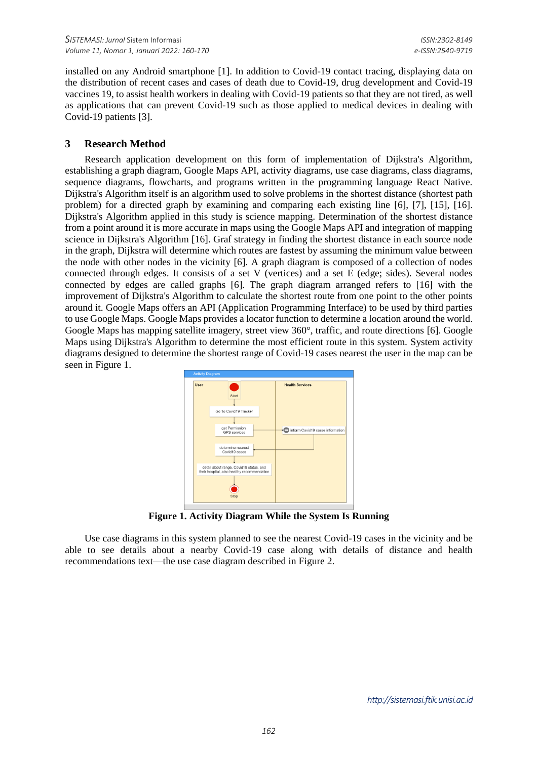installed on any Android smartphone [1]. In addition to Covid-19 contact tracing, displaying data on the distribution of recent cases and cases of death due to Covid-19, drug development and Covid-19 vaccines 19, to assist health workers in dealing with Covid-19 patients so that they are not tired, as well as applications that can prevent Covid-19 such as those applied to medical devices in dealing with Covid-19 patients [3].

#### **3 Research Method**

Research application development on this form of implementation of Dijkstra's Algorithm, establishing a graph diagram, Google Maps API, activity diagrams, use case diagrams, class diagrams, sequence diagrams, flowcharts, and programs written in the programming language React Native. Dijkstra's Algorithm itself is an algorithm used to solve problems in the shortest distance (shortest path problem) for a directed graph by examining and comparing each existing line [6], [7], [15], [16]. Dijkstra's Algorithm applied in this study is science mapping. Determination of the shortest distance from a point around it is more accurate in maps using the Google Maps API and integration of mapping science in Dijkstra's Algorithm [16]. Graf strategy in finding the shortest distance in each source node in the graph, Dijkstra will determine which routes are fastest by assuming the minimum value between the node with other nodes in the vicinity [6]. A graph diagram is composed of a collection of nodes connected through edges. It consists of a set V (vertices) and a set E (edge; sides). Several nodes connected by edges are called graphs [6]. The graph diagram arranged refers to [16] with the improvement of Dijkstra's Algorithm to calculate the shortest route from one point to the other points around it. Google Maps offers an API (Application Programming Interface) to be used by third parties to use Google Maps. Google Maps provides a locator function to determine a location around the world. Google Maps has mapping satellite imagery, street view 360°, traffic, and route directions [6]. Google Maps using Dijkstra's Algorithm to determine the most efficient route in this system. System activity diagrams designed to determine the shortest range of Covid-19 cases nearest the user in the map can be seen in Figure 1.



**Figure 1. Activity Diagram While the System Is Running**

Use case diagrams in this system planned to see the nearest Covid-19 cases in the vicinity and be able to see details about a nearby Covid-19 case along with details of distance and health recommendations text—the use case diagram described in Figure 2.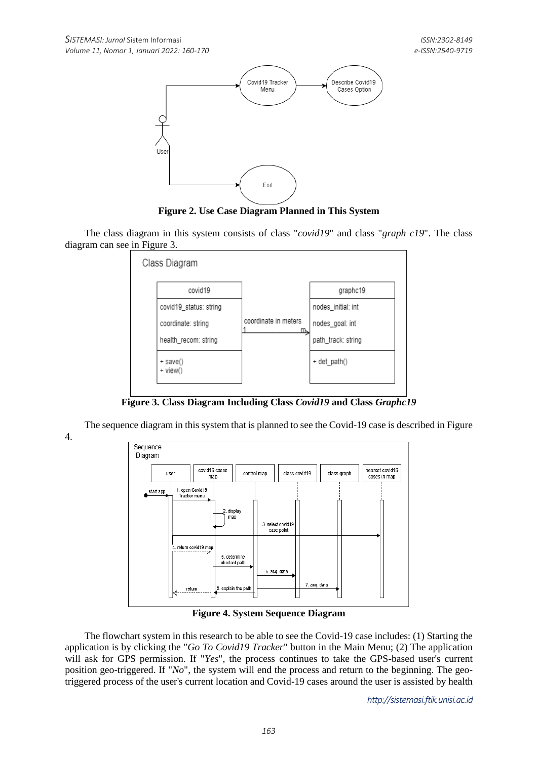

**Figure 2. Use Case Diagram Planned in This System**

The class diagram in this system consists of class "*covid19*" and class "*graph c19*". The class diagram can see in Figure 3.



**Figure 3. Class Diagram Including Class** *Covid19* **and Class** *Graphc19*

The sequence diagram in this system that is planned to see the Covid-19 case is described in Figure 4.



**Figure 4. System Sequence Diagram**

The flowchart system in this research to be able to see the Covid-19 case includes: (1) Starting the application is by clicking the "*Go To Covid19 Tracker*" button in the Main Menu; (2) The application will ask for GPS permission. If "*Yes*", the process continues to take the GPS-based user's current position geo-triggered. If "*No*", the system will end the process and return to the beginning. The geotriggered process of the user's current location and Covid-19 cases around the user is assisted by health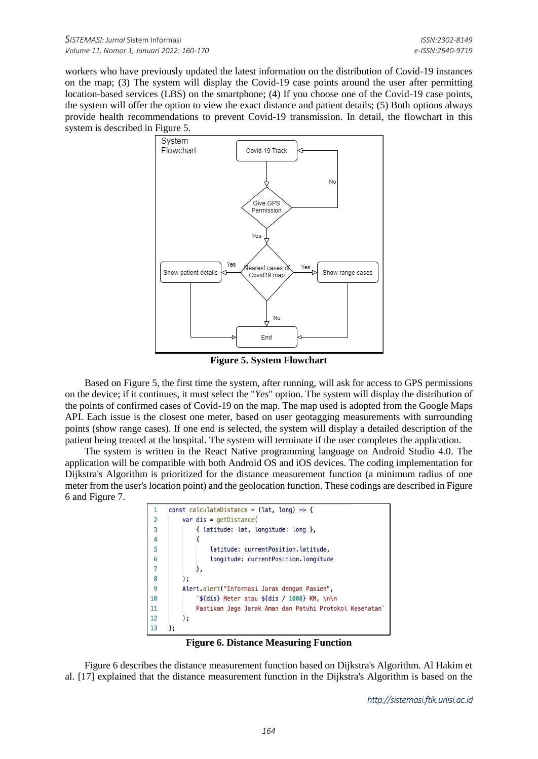workers who have previously updated the latest information on the distribution of Covid-19 instances on the map; (3) The system will display the Covid-19 case points around the user after permitting location-based services (LBS) on the smartphone; (4) If you choose one of the Covid-19 case points, the system will offer the option to view the exact distance and patient details; (5) Both options always provide health recommendations to prevent Covid-19 transmission. In detail, the flowchart in this system is described in Figure 5.



**Figure 5. System Flowchart**

Based on Figure 5, the first time the system, after running, will ask for access to GPS permissions on the device; if it continues, it must select the "*Yes*" option. The system will display the distribution of the points of confirmed cases of Covid-19 on the map. The map used is adopted from the Google Maps API. Each issue is the closest one meter, based on user geotagging measurements with surrounding points (show range cases). If one end is selected, the system will display a detailed description of the patient being treated at the hospital. The system will terminate if the user completes the application.

The system is written in the React Native programming language on Android Studio 4.0. The application will be compatible with both Android OS and iOS devices. The coding implementation for Dijkstra's Algorithm is prioritized for the distance measurement function (a minimum radius of one meter from the user's location point) and the geolocation function. These codings are described in Figure 6 and Figure 7.



**Figure 6. Distance Measuring Function**

Figure 6 describes the distance measurement function based on Dijkstra's Algorithm. Al Hakim et al. [17] explained that the distance measurement function in the Dijkstra's Algorithm is based on the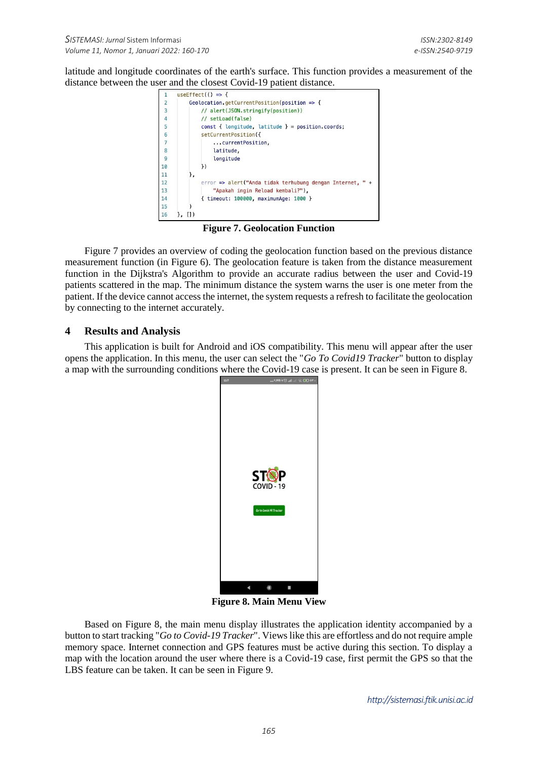latitude and longitude coordinates of the earth's surface. This function provides a measurement of the distance between the user and the closest Covid-19 patient distance.



**Figure 7. Geolocation Function**

Figure 7 provides an overview of coding the geolocation function based on the previous distance measurement function (in Figure 6). The geolocation feature is taken from the distance measurement function in the Dijkstra's Algorithm to provide an accurate radius between the user and Covid-19 patients scattered in the map. The minimum distance the system warns the user is one meter from the patient. If the device cannot access the internet, the system requests a refresh to facilitate the geolocation by connecting to the internet accurately.

## **4 Results and Analysis**

This application is built for Android and iOS compatibility. This menu will appear after the user opens the application. In this menu, the user can select the "*Go To Covid19 Tracker*" button to display a map with the surrounding conditions where the Covid-19 case is present. It can be seen in Figure 8.



**Figure 8. Main Menu View**

Based on Figure 8, the main menu display illustrates the application identity accompanied by a button to start tracking "*Go to Covid-19 Tracker*". Views like this are effortless and do not require ample memory space. Internet connection and GPS features must be active during this section. To display a map with the location around the user where there is a Covid-19 case, first permit the GPS so that the LBS feature can be taken. It can be seen in Figure 9.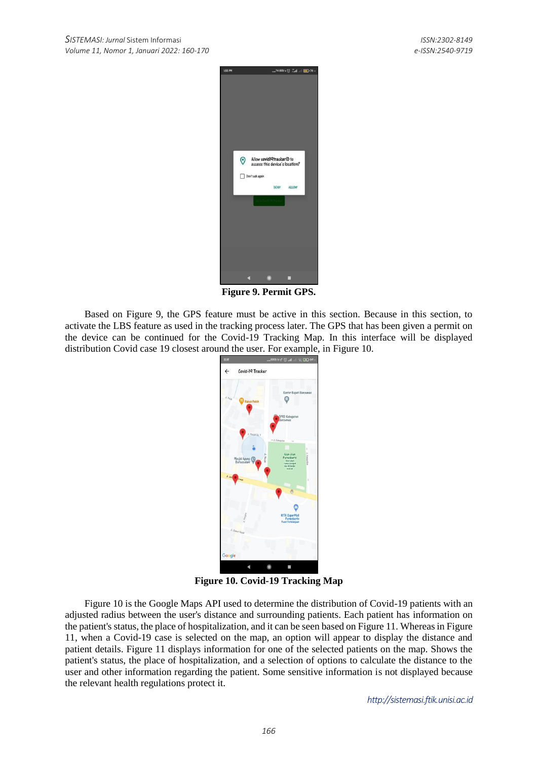

**Figure 9. Permit GPS.**

Based on Figure 9, the GPS feature must be active in this section. Because in this section, to activate the LBS feature as used in the tracking process later. The GPS that has been given a permit on the device can be continued for the Covid-19 Tracking Map. In this interface will be displayed distribution Covid case 19 closest around the user. For example, in Figure 10.



**Figure 10. Covid-19 Tracking Map**

Figure 10 is the Google Maps API used to determine the distribution of Covid-19 patients with an adjusted radius between the user's distance and surrounding patients. Each patient has information on the patient's status, the place of hospitalization, and it can be seen based on Figure 11. Whereas in Figure 11, when a Covid-19 case is selected on the map, an option will appear to display the distance and patient details. Figure 11 displays information for one of the selected patients on the map. Shows the patient's status, the place of hospitalization, and a selection of options to calculate the distance to the user and other information regarding the patient. Some sensitive information is not displayed because the relevant health regulations protect it.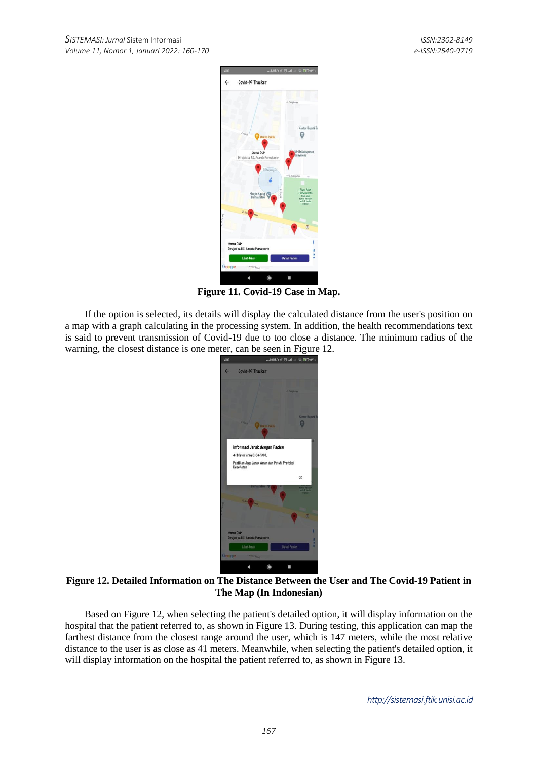

**Figure 11. Covid-19 Case in Map.**

If the option is selected, its details will display the calculated distance from the user's position on a map with a graph calculating in the processing system. In addition, the health recommendations text is said to prevent transmission of Covid-19 due to too close a distance. The minimum radius of the warning, the closest distance is one meter, can be seen in Figure 12.



# **Figure 12. Detailed Information on The Distance Between the User and The Covid-19 Patient in The Map (In Indonesian)**

Based on Figure 12, when selecting the patient's detailed option, it will display information on the hospital that the patient referred to, as shown in Figure 13. During testing, this application can map the farthest distance from the closest range around the user, which is 147 meters, while the most relative distance to the user is as close as 41 meters. Meanwhile, when selecting the patient's detailed option, it will display information on the hospital the patient referred to, as shown in Figure 13.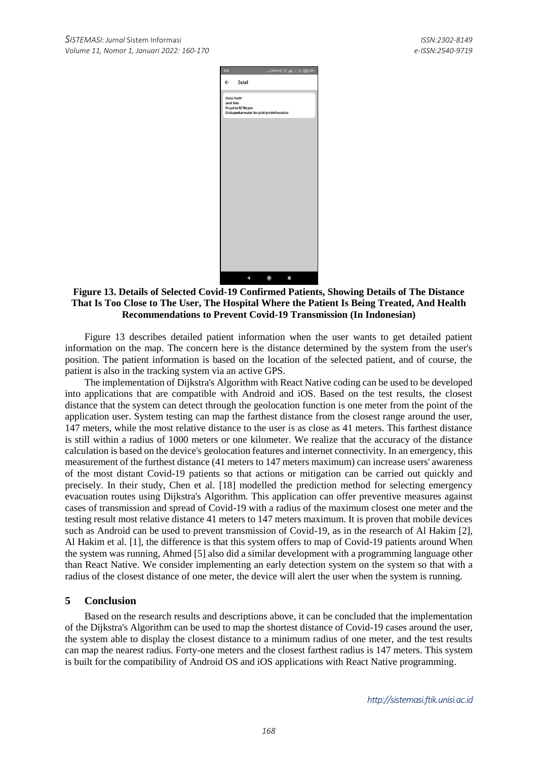| 12.12                 |                       | $3.05/4 \leq C$ and $3.05/4 \leq C$                 |
|-----------------------|-----------------------|-----------------------------------------------------|
| $\leftarrow$          | Detail                |                                                     |
| <b>Status Positif</b> |                       |                                                     |
| Jarak Anda            |                       |                                                     |
|                       | Dirujuk ke RS Margono |                                                     |
|                       |                       | Selalu gunakan masker dan patuhi protokol kesehatan |
|                       |                       |                                                     |
|                       |                       |                                                     |
|                       |                       |                                                     |
|                       |                       |                                                     |
|                       |                       |                                                     |
|                       |                       |                                                     |
|                       |                       |                                                     |
|                       |                       |                                                     |
|                       |                       |                                                     |
|                       |                       |                                                     |
|                       |                       |                                                     |
|                       |                       |                                                     |
|                       |                       |                                                     |
|                       |                       |                                                     |
|                       |                       |                                                     |
|                       |                       |                                                     |
|                       |                       |                                                     |
|                       |                       |                                                     |
|                       |                       |                                                     |
|                       |                       |                                                     |
|                       |                       |                                                     |
|                       |                       |                                                     |
|                       |                       |                                                     |
|                       |                       |                                                     |
|                       |                       |                                                     |
|                       |                       | $\circledcirc$                                      |

**Figure 13. Details of Selected Covid-19 Confirmed Patients, Showing Details of The Distance That Is Too Close to The User, The Hospital Where the Patient Is Being Treated, And Health Recommendations to Prevent Covid-19 Transmission (In Indonesian)**

Figure 13 describes detailed patient information when the user wants to get detailed patient information on the map. The concern here is the distance determined by the system from the user's position. The patient information is based on the location of the selected patient, and of course, the patient is also in the tracking system via an active GPS.

The implementation of Dijkstra's Algorithm with React Native coding can be used to be developed into applications that are compatible with Android and iOS. Based on the test results, the closest distance that the system can detect through the geolocation function is one meter from the point of the application user. System testing can map the farthest distance from the closest range around the user, 147 meters, while the most relative distance to the user is as close as 41 meters. This farthest distance is still within a radius of 1000 meters or one kilometer. We realize that the accuracy of the distance calculation is based on the device's geolocation features and internet connectivity. In an emergency, this measurement of the furthest distance (41 meters to 147 meters maximum) can increase users' awareness of the most distant Covid-19 patients so that actions or mitigation can be carried out quickly and precisely. In their study, Chen et al. [18] modelled the prediction method for selecting emergency evacuation routes using Dijkstra's Algorithm. This application can offer preventive measures against cases of transmission and spread of Covid-19 with a radius of the maximum closest one meter and the testing result most relative distance 41 meters to 147 meters maximum. It is proven that mobile devices such as Android can be used to prevent transmission of Covid-19, as in the research of Al Hakim [2], Al Hakim et al. [1], the difference is that this system offers to map of Covid-19 patients around When the system was running, Ahmed [5] also did a similar development with a programming language other than React Native. We consider implementing an early detection system on the system so that with a radius of the closest distance of one meter, the device will alert the user when the system is running.

## **5 Conclusion**

Based on the research results and descriptions above, it can be concluded that the implementation of the Dijkstra's Algorithm can be used to map the shortest distance of Covid-19 cases around the user, the system able to display the closest distance to a minimum radius of one meter, and the test results can map the nearest radius. Forty-one meters and the closest farthest radius is 147 meters. This system is built for the compatibility of Android OS and iOS applications with React Native programming.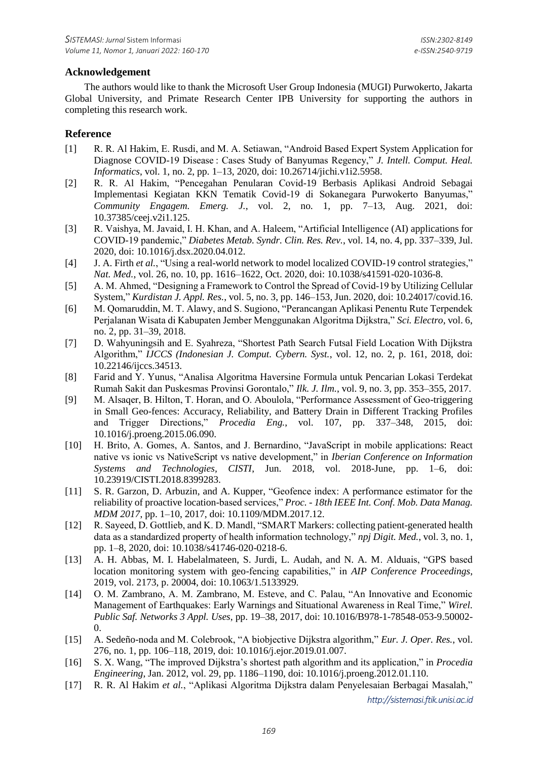## **Acknowledgement**

The authors would like to thank the Microsoft User Group Indonesia (MUGI) Purwokerto, Jakarta Global University, and Primate Research Center IPB University for supporting the authors in completing this research work.

# **Reference**

- [1] R. R. Al Hakim, E. Rusdi, and M. A. Setiawan, "Android Based Expert System Application for Diagnose COVID-19 Disease : Cases Study of Banyumas Regency," *J. Intell. Comput. Heal. Informatics*, vol. 1, no. 2, pp. 1–13, 2020, doi: 10.26714/jichi.v1i2.5958.
- [2] R. R. Al Hakim, "Pencegahan Penularan Covid-19 Berbasis Aplikasi Android Sebagai Implementasi Kegiatan KKN Tematik Covid-19 di Sokanegara Purwokerto Banyumas," *Community Engagem. Emerg. J.*, vol. 2, no. 1, pp. 7–13, Aug. 2021, doi: 10.37385/ceej.v2i1.125.
- [3] R. Vaishya, M. Javaid, I. H. Khan, and A. Haleem, "Artificial Intelligence (AI) applications for COVID-19 pandemic," *Diabetes Metab. Syndr. Clin. Res. Rev.*, vol. 14, no. 4, pp. 337–339, Jul. 2020, doi: 10.1016/j.dsx.2020.04.012.
- [4] J. A. Firth *et al.*, "Using a real-world network to model localized COVID-19 control strategies," *Nat. Med.*, vol. 26, no. 10, pp. 1616–1622, Oct. 2020, doi: 10.1038/s41591-020-1036-8.
- [5] A. M. Ahmed, "Designing a Framework to Control the Spread of Covid-19 by Utilizing Cellular System," *Kurdistan J. Appl. Res.*, vol. 5, no. 3, pp. 146–153, Jun. 2020, doi: 10.24017/covid.16.
- [6] M. Qomaruddin, M. T. Alawy, and S. Sugiono, "Perancangan Aplikasi Penentu Rute Terpendek Perjalanan Wisata di Kabupaten Jember Menggunakan Algoritma Dijkstra," *Sci. Electro*, vol. 6, no. 2, pp. 31–39, 2018.
- [7] D. Wahyuningsih and E. Syahreza, "Shortest Path Search Futsal Field Location With Dijkstra Algorithm," *IJCCS (Indonesian J. Comput. Cybern. Syst.*, vol. 12, no. 2, p. 161, 2018, doi: 10.22146/ijccs.34513.
- [8] Farid and Y. Yunus, "Analisa Algoritma Haversine Formula untuk Pencarian Lokasi Terdekat Rumah Sakit dan Puskesmas Provinsi Gorontalo," *Ilk. J. Ilm.*, vol. 9, no. 3, pp. 353–355, 2017.
- [9] M. Alsaqer, B. Hilton, T. Horan, and O. Aboulola, "Performance Assessment of Geo-triggering in Small Geo-fences: Accuracy, Reliability, and Battery Drain in Different Tracking Profiles and Trigger Directions," *Procedia Eng.*, vol. 107, pp. 337–348, 2015, doi: 10.1016/j.proeng.2015.06.090.
- [10] H. Brito, A. Gomes, A. Santos, and J. Bernardino, "JavaScript in mobile applications: React native vs ionic vs NativeScript vs native development," in *Iberian Conference on Information Systems and Technologies, CISTI*, Jun. 2018, vol. 2018-June, pp. 1–6, doi: 10.23919/CISTI.2018.8399283.
- [11] S. R. Garzon, D. Arbuzin, and A. Kupper, "Geofence index: A performance estimator for the reliability of proactive location-based services," *Proc. - 18th IEEE Int. Conf. Mob. Data Manag. MDM 2017*, pp. 1–10, 2017, doi: 10.1109/MDM.2017.12.
- [12] R. Sayeed, D. Gottlieb, and K. D. Mandl, "SMART Markers: collecting patient-generated health data as a standardized property of health information technology," *npj Digit. Med.*, vol. 3, no. 1, pp. 1–8, 2020, doi: 10.1038/s41746-020-0218-6.
- [13] A. H. Abbas, M. I. Habelalmateen, S. Jurdi, L. Audah, and N. A. M. Alduais, "GPS based location monitoring system with geo-fencing capabilities," in *AIP Conference Proceedings*, 2019, vol. 2173, p. 20004, doi: 10.1063/1.5133929.
- [14] O. M. Zambrano, A. M. Zambrano, M. Esteve, and C. Palau, "An Innovative and Economic Management of Earthquakes: Early Warnings and Situational Awareness in Real Time," *Wirel. Public Saf. Networks 3 Appl. Uses*, pp. 19–38, 2017, doi: 10.1016/B978-1-78548-053-9.50002- 0.
- [15] A. Sedeño-noda and M. Colebrook, "A biobjective Dijkstra algorithm," *Eur. J. Oper. Res.*, vol. 276, no. 1, pp. 106–118, 2019, doi: 10.1016/j.ejor.2019.01.007.
- [16] S. X. Wang, "The improved Dijkstra's shortest path algorithm and its application," in *Procedia Engineering*, Jan. 2012, vol. 29, pp. 1186–1190, doi: 10.1016/j.proeng.2012.01.110.
- [17] R. R. Al Hakim *et al.*, "Aplikasi Algoritma Dijkstra dalam Penyelesaian Berbagai Masalah,"